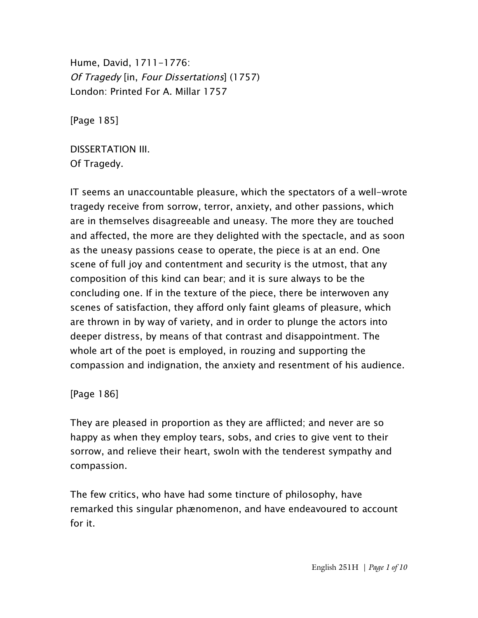Hume, David, 1711-1776: Of Tragedy [in, Four Dissertations] (1757) London: Printed For A. Millar 1757

[Page 185]

DISSERTATION III. Of Tragedy.

IT seems an unaccountable pleasure, which the spectators of a well-wrote tragedy receive from sorrow, terror, anxiety, and other passions, which are in themselves disagreeable and uneasy. The more they are touched and affected, the more are they delighted with the spectacle, and as soon as the uneasy passions cease to operate, the piece is at an end. One scene of full joy and contentment and security is the utmost, that any composition of this kind can bear; and it is sure always to be the concluding one. If in the texture of the piece, there be interwoven any scenes of satisfaction, they afford only faint gleams of pleasure, which are thrown in by way of variety, and in order to plunge the actors into deeper distress, by means of that contrast and disappointment. The whole art of the poet is employed, in rouzing and supporting the compassion and indignation, the anxiety and resentment of his audience.

[Page 186]

They are pleased in proportion as they are afflicted; and never are so happy as when they employ tears, sobs, and cries to give vent to their sorrow, and relieve their heart, swoln with the tenderest sympathy and compassion.

The few critics, who have had some tincture of philosophy, have remarked this singular phænomenon, and have endeavoured to account for it.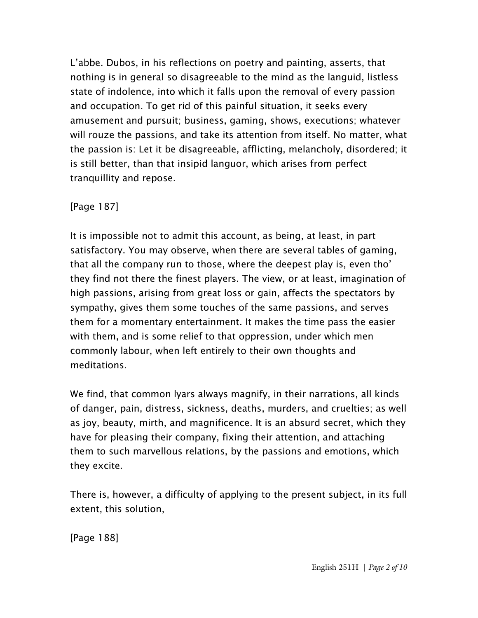L'abbe. Dubos, in his reflections on poetry and painting, asserts, that nothing is in general so disagreeable to the mind as the languid, listless state of indolence, into which it falls upon the removal of every passion and occupation. To get rid of this painful situation, it seeks every amusement and pursuit; business, gaming, shows, executions; whatever will rouze the passions, and take its attention from itself. No matter, what the passion is: Let it be disagreeable, afflicting, melancholy, disordered; it is still better, than that insipid languor, which arises from perfect tranquillity and repose.

## [Page 187]

It is impossible not to admit this account, as being, at least, in part satisfactory. You may observe, when there are several tables of gaming, that all the company run to those, where the deepest play is, even tho' they find not there the finest players. The view, or at least, imagination of high passions, arising from great loss or gain, affects the spectators by sympathy, gives them some touches of the same passions, and serves them for a momentary entertainment. It makes the time pass the easier with them, and is some relief to that oppression, under which men commonly labour, when left entirely to their own thoughts and meditations.

We find, that common lyars always magnify, in their narrations, all kinds of danger, pain, distress, sickness, deaths, murders, and cruelties; as well as joy, beauty, mirth, and magnificence. It is an absurd secret, which they have for pleasing their company, fixing their attention, and attaching them to such marvellous relations, by the passions and emotions, which they excite.

There is, however, a difficulty of applying to the present subject, in its full extent, this solution,

[Page 188]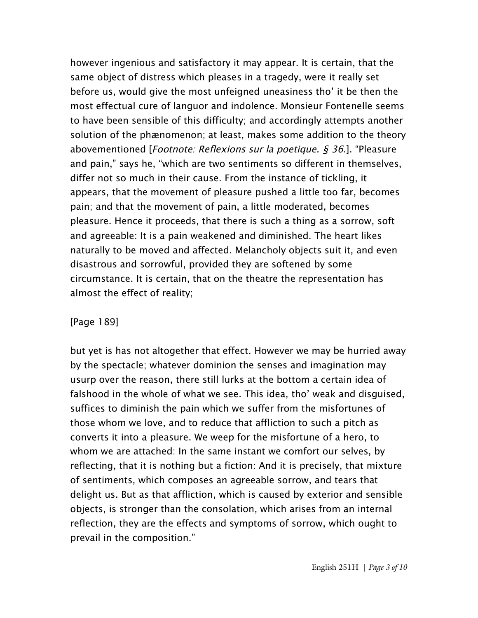however ingenious and satisfactory it may appear. It is certain, that the same object of distress which pleases in a tragedy, were it really set before us, would give the most unfeigned uneasiness tho' it be then the most effectual cure of languor and indolence. Monsieur Fontenelle seems to have been sensible of this difficulty; and accordingly attempts another solution of the phænomenon; at least, makes some addition to the theory abovementioned [Footnote: Reflexions sur la poetique.  $\zeta$  36.]. "Pleasure and pain," says he, "which are two sentiments so different in themselves, differ not so much in their cause. From the instance of tickling, it appears, that the movement of pleasure pushed a little too far, becomes pain; and that the movement of pain, a little moderated, becomes pleasure. Hence it proceeds, that there is such a thing as a sorrow, soft and agreeable: It is a pain weakened and diminished. The heart likes naturally to be moved and affected. Melancholy objects suit it, and even disastrous and sorrowful, provided they are softened by some circumstance. It is certain, that on the theatre the representation has almost the effect of reality;

## [Page 189]

but yet is has not altogether that effect. However we may be hurried away by the spectacle; whatever dominion the senses and imagination may usurp over the reason, there still lurks at the bottom a certain idea of falshood in the whole of what we see. This idea, tho' weak and disguised, suffices to diminish the pain which we suffer from the misfortunes of those whom we love, and to reduce that affliction to such a pitch as converts it into a pleasure. We weep for the misfortune of a hero, to whom we are attached: In the same instant we comfort our selves, by reflecting, that it is nothing but a fiction: And it is precisely, that mixture of sentiments, which composes an agreeable sorrow, and tears that delight us. But as that affliction, which is caused by exterior and sensible objects, is stronger than the consolation, which arises from an internal reflection, they are the effects and symptoms of sorrow, which ought to prevail in the composition."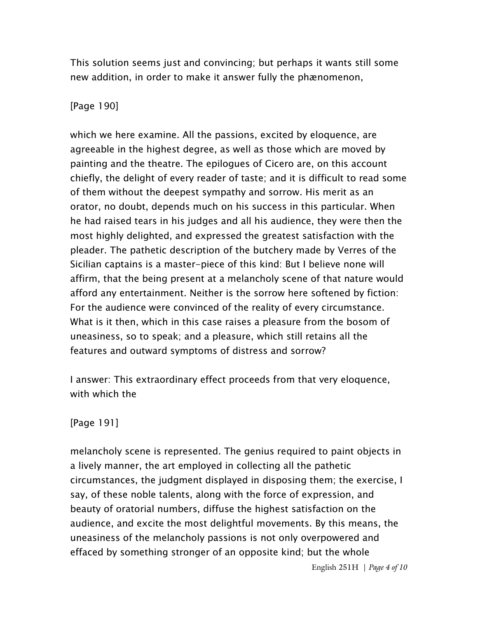This solution seems just and convincing; but perhaps it wants still some new addition, in order to make it answer fully the phænomenon,

## [Page 190]

which we here examine. All the passions, excited by eloquence, are agreeable in the highest degree, as well as those which are moved by painting and the theatre. The epilogues of Cicero are, on this account chiefly, the delight of every reader of taste; and it is difficult to read some of them without the deepest sympathy and sorrow. His merit as an orator, no doubt, depends much on his success in this particular. When he had raised tears in his judges and all his audience, they were then the most highly delighted, and expressed the greatest satisfaction with the pleader. The pathetic description of the butchery made by Verres of the Sicilian captains is a master-piece of this kind: But I believe none will affirm, that the being present at a melancholy scene of that nature would afford any entertainment. Neither is the sorrow here softened by fiction: For the audience were convinced of the reality of every circumstance. What is it then, which in this case raises a pleasure from the bosom of uneasiness, so to speak; and a pleasure, which still retains all the features and outward symptoms of distress and sorrow?

I answer: This extraordinary effect proceeds from that very eloquence, with which the

[Page 191]

melancholy scene is represented. The genius required to paint objects in a lively manner, the art employed in collecting all the pathetic circumstances, the judgment displayed in disposing them; the exercise, I say, of these noble talents, along with the force of expression, and beauty of oratorial numbers, diffuse the highest satisfaction on the audience, and excite the most delightful movements. By this means, the uneasiness of the melancholy passions is not only overpowered and effaced by something stronger of an opposite kind; but the whole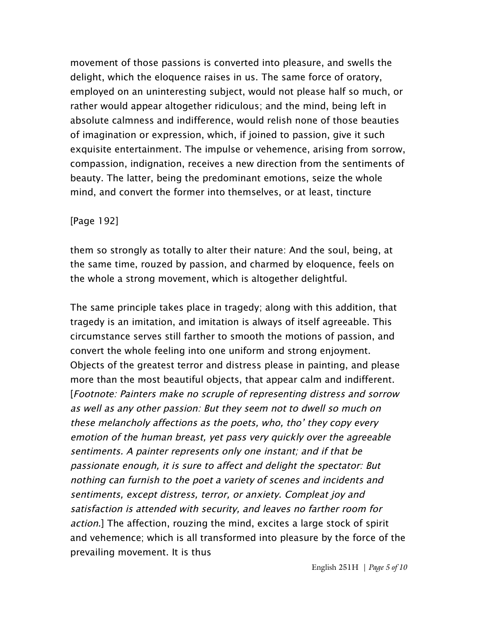movement of those passions is converted into pleasure, and swells the delight, which the eloquence raises in us. The same force of oratory, employed on an uninteresting subject, would not please half so much, or rather would appear altogether ridiculous; and the mind, being left in absolute calmness and indifference, would relish none of those beauties of imagination or expression, which, if joined to passion, give it such exquisite entertainment. The impulse or vehemence, arising from sorrow, compassion, indignation, receives a new direction from the sentiments of beauty. The latter, being the predominant emotions, seize the whole mind, and convert the former into themselves, or at least, tincture

## [Page 192]

them so strongly as totally to alter their nature: And the soul, being, at the same time, rouzed by passion, and charmed by eloquence, feels on the whole a strong movement, which is altogether delightful.

The same principle takes place in tragedy; along with this addition, that tragedy is an imitation, and imitation is always of itself agreeable. This circumstance serves still farther to smooth the motions of passion, and convert the whole feeling into one uniform and strong enjoyment. Objects of the greatest terror and distress please in painting, and please more than the most beautiful objects, that appear calm and indifferent. [Footnote: Painters make no scruple of representing distress and sorrow as well as any other passion: But they seem not to dwell so much on these melancholy affections as the poets, who, tho' they copy every emotion of the human breast, yet pass very quickly over the agreeable sentiments. A painter represents only one instant; and if that be passionate enough, it is sure to affect and delight the spectator: But nothing can furnish to the poet <sup>a</sup> variety of scenes and incidents and sentiments, except distress, terror, or anxiety. Compleat joy and satisfaction is attended with security, and leaves no farther room for action.] The affection, rouzing the mind, excites a large stock of spirit and vehemence; which is all transformed into pleasure by the force of the prevailing movement. It is thus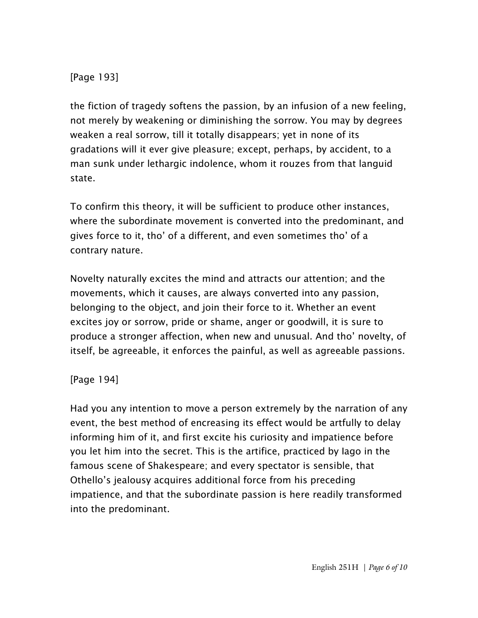[Page 193]

the fiction of tragedy softens the passion, by an infusion of a new feeling, not merely by weakening or diminishing the sorrow. You may by degrees weaken a real sorrow, till it totally disappears; yet in none of its gradations will it ever give pleasure; except, perhaps, by accident, to a man sunk under lethargic indolence, whom it rouzes from that languid state.

To confirm this theory, it will be sufficient to produce other instances, where the subordinate movement is converted into the predominant, and gives force to it, tho' of a different, and even sometimes tho' of a contrary nature.

Novelty naturally excites the mind and attracts our attention; and the movements, which it causes, are always converted into any passion, belonging to the object, and join their force to it. Whether an event excites joy or sorrow, pride or shame, anger or goodwill, it is sure to produce a stronger affection, when new and unusual. And tho' novelty, of itself, be agreeable, it enforces the painful, as well as agreeable passions.

[Page 194]

Had you any intention to move a person extremely by the narration of any event, the best method of encreasing its effect would be artfully to delay informing him of it, and first excite his curiosity and impatience before you let him into the secret. This is the artifice, practiced by Iago in the famous scene of Shakespeare; and every spectator is sensible, that Othello's jealousy acquires additional force from his preceding impatience, and that the subordinate passion is here readily transformed into the predominant.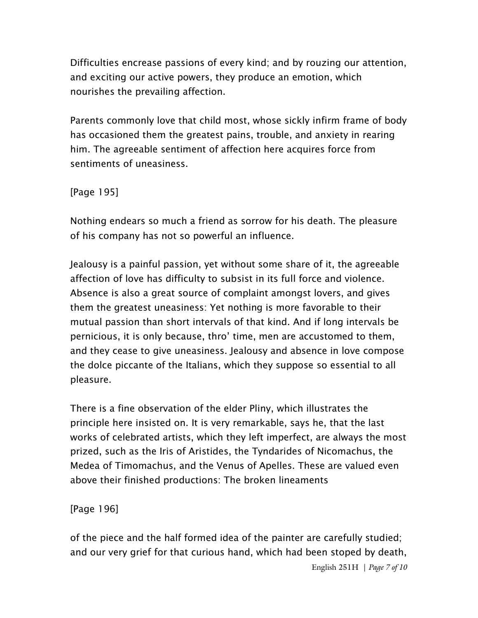Difficulties encrease passions of every kind; and by rouzing our attention, and exciting our active powers, they produce an emotion, which nourishes the prevailing affection.

Parents commonly love that child most, whose sickly infirm frame of body has occasioned them the greatest pains, trouble, and anxiety in rearing him. The agreeable sentiment of affection here acquires force from sentiments of uneasiness.

[Page 195]

Nothing endears so much a friend as sorrow for his death. The pleasure of his company has not so powerful an influence.

Jealousy is a painful passion, yet without some share of it, the agreeable affection of love has difficulty to subsist in its full force and violence. Absence is also a great source of complaint amongst lovers, and gives them the greatest uneasiness: Yet nothing is more favorable to their mutual passion than short intervals of that kind. And if long intervals be pernicious, it is only because, thro' time, men are accustomed to them, and they cease to give uneasiness. Jealousy and absence in love compose the dolce piccante of the Italians, which they suppose so essential to all pleasure.

There is a fine observation of the elder Pliny, which illustrates the principle here insisted on. It is very remarkable, says he, that the last works of celebrated artists, which they left imperfect, are always the most prized, such as the Iris of Aristides, the Tyndarides of Nicomachus, the Medea of Timomachus, and the Venus of Apelles. These are valued even above their finished productions: The broken lineaments

[Page 196]

of the piece and the half formed idea of the painter are carefully studied; and our very grief for that curious hand, which had been stoped by death,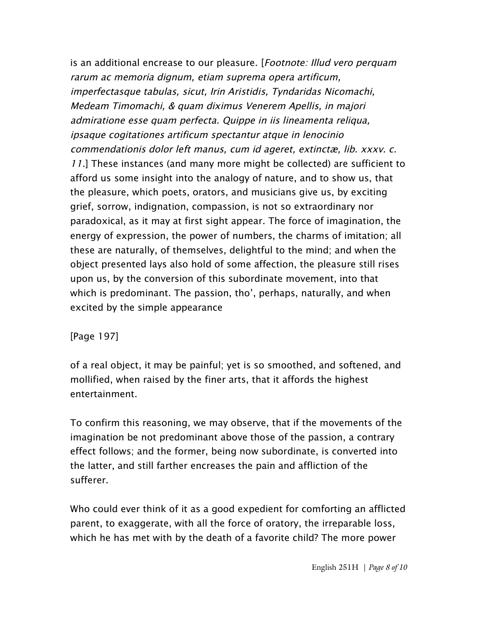is an additional encrease to our pleasure. [Footnote: Illud vero perquam rarum ac memoria dignum, etiam suprema opera artificum, imperfectasque tabulas, sicut, Irin Aristidis, Tyndaridas Nicomachi, Medeam Timomachi, & quam diximus Venerem Apellis, in majori admiratione esse quam perfecta. Quippe in iis lineamenta reliqua, ipsaque cogitationes artificum spectantur atque in lenocinio commendationis dolor left manus, cum id ageret, extinctæ, lib. xxxv. c. 11.] These instances (and many more might be collected) are sufficient to afford us some insight into the analogy of nature, and to show us, that the pleasure, which poets, orators, and musicians give us, by exciting grief, sorrow, indignation, compassion, is not so extraordinary nor paradoxical, as it may at first sight appear. The force of imagination, the energy of expression, the power of numbers, the charms of imitation; all these are naturally, of themselves, delightful to the mind; and when the object presented lays also hold of some affection, the pleasure still rises upon us, by the conversion of this subordinate movement, into that which is predominant. The passion, tho', perhaps, naturally, and when excited by the simple appearance

[Page 197]

of a real object, it may be painful; yet is so smoothed, and softened, and mollified, when raised by the finer arts, that it affords the highest entertainment.

To confirm this reasoning, we may observe, that if the movements of the imagination be not predominant above those of the passion, a contrary effect follows; and the former, being now subordinate, is converted into the latter, and still farther encreases the pain and affliction of the sufferer.

Who could ever think of it as a good expedient for comforting an afflicted parent, to exaggerate, with all the force of oratory, the irreparable loss, which he has met with by the death of a favorite child? The more power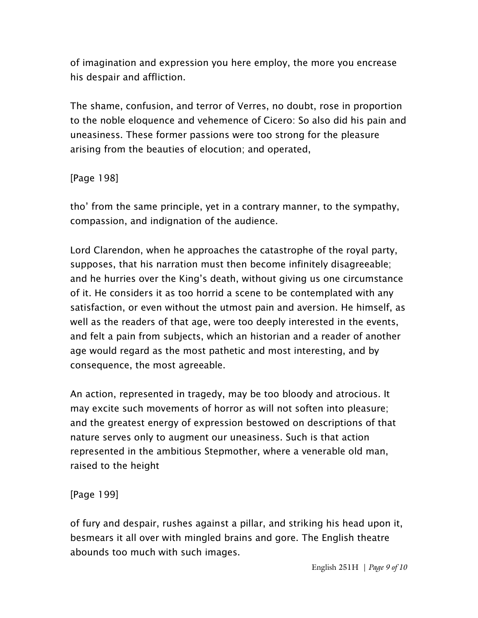of imagination and expression you here employ, the more you encrease his despair and affliction.

The shame, confusion, and terror of Verres, no doubt, rose in proportion to the noble eloquence and vehemence of Cicero: So also did his pain and uneasiness. These former passions were too strong for the pleasure arising from the beauties of elocution; and operated,

[Page 198]

tho' from the same principle, yet in a contrary manner, to the sympathy, compassion, and indignation of the audience.

Lord Clarendon, when he approaches the catastrophe of the royal party, supposes, that his narration must then become infinitely disagreeable; and he hurries over the King's death, without giving us one circumstance of it. He considers it as too horrid a scene to be contemplated with any satisfaction, or even without the utmost pain and aversion. He himself, as well as the readers of that age, were too deeply interested in the events, and felt a pain from subjects, which an historian and a reader of another age would regard as the most pathetic and most interesting, and by consequence, the most agreeable.

An action, represented in tragedy, may be too bloody and atrocious. It may excite such movements of horror as will not soften into pleasure; and the greatest energy of expression bestowed on descriptions of that nature serves only to augment our uneasiness. Such is that action represented in the ambitious Stepmother, where a venerable old man, raised to the height

[Page 199]

of fury and despair, rushes against a pillar, and striking his head upon it, besmears it all over with mingled brains and gore. The English theatre abounds too much with such images.